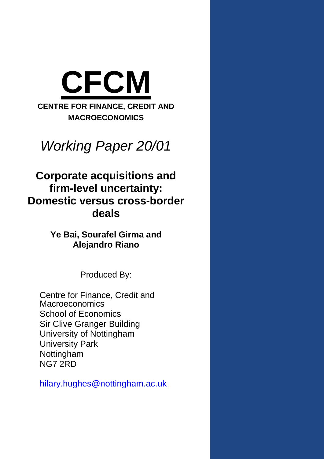

# *Working Paper 20/01*

## **Corporate acquisitions and firm-level uncertainty: Domestic versus cross-border deals**

**Ye Bai, Sourafel Girma and Alejandro Riano**

Produced By:

Centre for Finance, Credit and **Macroeconomics** School of Economics Sir Clive Granger Building University of Nottingham University Park Nottingham NG7 2RD

hilary.hughes@nottingham.ac.uk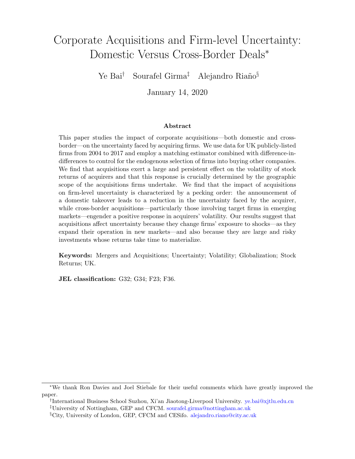## <span id="page-1-0"></span>Corporate Acquisitions and Firm-level Uncertainty: Domestic Versus Cross-Border Deals<sup>∗</sup>

Ye Bai<sup>†</sup> Sourafel Girma<sup>‡</sup> Alejandro Riaño<sup>§</sup>

January 14, 2020

#### Abstract

This paper studies the impact of corporate acquisitions—both domestic and crossborder—on the uncertainty faced by acquiring firms. We use data for UK publicly-listed firms from 2004 to 2017 and employ a matching estimator combined with difference-indifferences to control for the endogenous selection of firms into buying other companies. We find that acquisitions exert a large and persistent effect on the volatility of stock returns of acquirers and that this response is crucially determined by the geographic scope of the acquisitions firms undertake. We find that the impact of acquisitions on firm-level uncertainty is characterized by a pecking order: the announcement of a domestic takeover leads to a reduction in the uncertainty faced by the acquirer, while cross-border acquisitions—particularly those involving target firms in emerging markets—engender a positive response in acquirers' volatility. Our results suggest that acquisitions affect uncertainty because they change firms' exposure to shocks—as they expand their operation in new markets—and also because they are large and risky investments whose returns take time to materialize.

Keywords: Mergers and Acquisitions; Uncertainty; Volatility; Globalization; Stock Returns; UK.

JEL classification: G32; G34; F23; F36.

<sup>∗</sup>We thank Ron Davies and Joel Stiebale for their useful comments which have greatly improved the paper.

<sup>†</sup> International Business School Suzhou, Xi'an Jiaotong-Liverpool University. [ye.bai@xjtlu.edu.cn](mailto:ye.bai@xjtlu.edu.cn)

<sup>‡</sup>University of Nottingham, GEP and CFCM. [sourafel.girma@nottingham.ac.uk](mailto:sourafel.girma@nottingham.ac.uk)

<sup>§</sup>City, University of London, GEP, CFCM and CESifo. [alejandro.riano@city.ac.uk](mailto:alejandro.riano@city.ac.uk)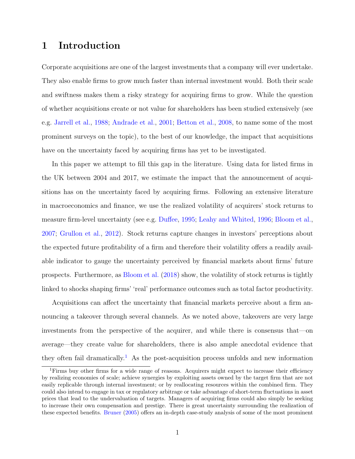## 1 Introduction

Corporate acquisitions are one of the largest investments that a company will ever undertake. They also enable firms to grow much faster than internal investment would. Both their scale and swiftness makes them a risky strategy for acquiring firms to grow. While the question of whether acquisitions create or not value for shareholders has been studied extensively (see e.g. [Jarrell et al.,](#page-26-0) [1988;](#page-26-0) [Andrade et al.,](#page-24-0) [2001;](#page-24-0) [Betton et al.,](#page-24-1) [2008,](#page-24-1) to name some of the most prominent surveys on the topic), to the best of our knowledge, the impact that acquisitions have on the uncertainty faced by acquiring firms has yet to be investigated.

In this paper we attempt to fill this gap in the literature. Using data for listed firms in the UK between 2004 and 2017, we estimate the impact that the announcement of acquisitions has on the uncertainty faced by acquiring firms. Following an extensive literature in macroeconomics and finance, we use the realized volatility of acquirers' stock returns to measure firm-level uncertainty (see e.g. [Duffee,](#page-25-0) [1995;](#page-25-0) [Leahy and Whited,](#page-26-1) [1996;](#page-26-1) [Bloom et al.,](#page-24-2) [2007;](#page-24-2) [Grullon et al.,](#page-25-1) [2012\)](#page-25-1). Stock returns capture changes in investors' perceptions about the expected future profitability of a firm and therefore their volatility offers a readily available indicator to gauge the uncertainty perceived by financial markets about firms' future prospects. Furthermore, as [Bloom et al.](#page-24-3) [\(2018\)](#page-24-3) show, the volatility of stock returns is tightly linked to shocks shaping firms' 'real' performance outcomes such as total factor productivity.

Acquisitions can affect the uncertainty that financial markets perceive about a firm announcing a takeover through several channels. As we noted above, takeovers are very large investments from the perspective of the acquirer, and while there is consensus that—on average—they create value for shareholders, there is also ample anecdotal evidence that they often fail dramatically.<sup>[1](#page-1-0)</sup> As the post-acquisition process unfolds and new information

<sup>1</sup>Firms buy other firms for a wide range of reasons. Acquirers might expect to increase their efficiency by realizing economies of scale; achieve synergies by exploiting assets owned by the target firm that are not easily replicable through internal investment; or by reallocating resources within the combined firm. They could also intend to engage in tax or regulatory arbitrage or take advantage of short-term fluctuations in asset prices that lead to the undervaluation of targets. Managers of acquiring firms could also simply be seeking to increase their own compensation and prestige. There is great uncertainty surrounding the realization of these expected benefits. [Bruner](#page-24-4) [\(2005\)](#page-24-4) offers an in-depth case-study analysis of some of the most prominent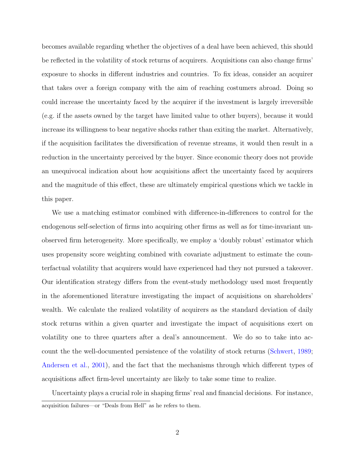becomes available regarding whether the objectives of a deal have been achieved, this should be reflected in the volatility of stock returns of acquirers. Acquisitions can also change firms' exposure to shocks in different industries and countries. To fix ideas, consider an acquirer that takes over a foreign company with the aim of reaching costumers abroad. Doing so could increase the uncertainty faced by the acquirer if the investment is largely irreversible (e.g. if the assets owned by the target have limited value to other buyers), because it would increase its willingness to bear negative shocks rather than exiting the market. Alternatively, if the acquisition facilitates the diversification of revenue streams, it would then result in a reduction in the uncertainty perceived by the buyer. Since economic theory does not provide an unequivocal indication about how acquisitions affect the uncertainty faced by acquirers and the magnitude of this effect, these are ultimately empirical questions which we tackle in this paper.

We use a matching estimator combined with difference-in-differences to control for the endogenous self-selection of firms into acquiring other firms as well as for time-invariant unobserved firm heterogeneity. More specifically, we employ a 'doubly robust' estimator which uses propensity score weighting combined with covariate adjustment to estimate the counterfactual volatility that acquirers would have experienced had they not pursued a takeover. Our identification strategy differs from the event-study methodology used most frequently in the aforementioned literature investigating the impact of acquisitions on shareholders' wealth. We calculate the realized volatility of acquirers as the standard deviation of daily stock returns within a given quarter and investigate the impact of acquisitions exert on volatility one to three quarters after a deal's announcement. We do so to take into account the the well-documented persistence of the volatility of stock returns [\(Schwert,](#page-27-0) [1989;](#page-27-0) [Andersen et al.,](#page-23-0) [2001\)](#page-23-0), and the fact that the mechanisms through which different types of acquisitions affect firm-level uncertainty are likely to take some time to realize.

Uncertainty plays a crucial role in shaping firms' real and financial decisions. For instance, acquisition failures—or "Deals from Hell" as he refers to them.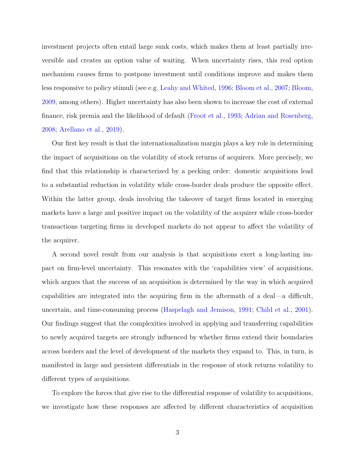investment projects often entail large sunk costs, which makes them at least partially irreversible and creates an option value of waiting. When uncertainty rises, this real option mechanism causes firms to postpone investment until conditions improve and makes them less responsive to policy stimuli (see e.g. [Leahy and Whited,](#page-26-1) [1996;](#page-26-1) [Bloom et al.,](#page-24-2) [2007;](#page-24-2) [Bloom,](#page-24-5) [2009,](#page-24-5) among others). Higher uncertainty has also been shown to increase the cost of external finance, risk premia and the likelihood of default [\(Froot et al.,](#page-25-2) [1993;](#page-25-2) [Adrian and Rosenberg,](#page-23-1) [2008;](#page-23-1) [Arellano et al.,](#page-24-6) [2019\)](#page-24-6).

Our first key result is that the internationalization margin plays a key role in determining the impact of acquisitions on the volatility of stock returns of acquirers. More precisely, we find that this relationship is characterized by a pecking order: domestic acquisitions lead to a substantial reduction in volatility while cross-border deals produce the opposite effect. Within the latter group, deals involving the takeover of target firms located in emerging markets have a large and positive impact on the volatility of the acquirer while cross-border transactions targeting firms in developed markets do not appear to affect the volatility of the acquirer.

A second novel result from our analysis is that acquisitions exert a long-lasting impact on firm-level uncertainty. This resonates with the 'capabilities view' of acquisitions, which argues that the success of an acquisition is determined by the way in which acquired capabilities are integrated into the acquiring firm in the aftermath of a deal—a difficult, uncertain, and time-consuming process [\(Haspelagh and Jemison,](#page-26-2) [1991;](#page-26-2) [Child et al.,](#page-25-3) [2001\)](#page-25-3). Our findings suggest that the complexities involved in applying and transferring capabilities to newly acquired targets are strongly influenced by whether firms extend their boundaries across borders and the level of development of the markets they expand to. This, in turn, is manifested in large and persistent differentials in the response of stock returns volatility to different types of acquisitions.

To explore the forces that give rise to the differential response of volatility to acquisitions, we investigate how these responses are affected by different characteristics of acquisition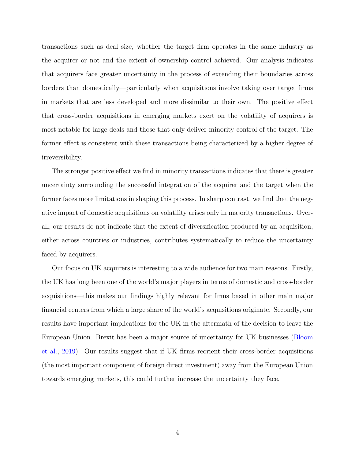transactions such as deal size, whether the target firm operates in the same industry as the acquirer or not and the extent of ownership control achieved. Our analysis indicates that acquirers face greater uncertainty in the process of extending their boundaries across borders than domestically—particularly when acquisitions involve taking over target firms in markets that are less developed and more dissimilar to their own. The positive effect that cross-border acquisitions in emerging markets exert on the volatility of acquirers is most notable for large deals and those that only deliver minority control of the target. The former effect is consistent with these transactions being characterized by a higher degree of irreversibility.

The stronger positive effect we find in minority transactions indicates that there is greater uncertainty surrounding the successful integration of the acquirer and the target when the former faces more limitations in shaping this process. In sharp contrast, we find that the negative impact of domestic acquisitions on volatility arises only in majority transactions. Overall, our results do not indicate that the extent of diversification produced by an acquisition, either across countries or industries, contributes systematically to reduce the uncertainty faced by acquirers.

Our focus on UK acquirers is interesting to a wide audience for two main reasons. Firstly, the UK has long been one of the world's major players in terms of domestic and cross-border acquisitions—this makes our findings highly relevant for firms based in other main major financial centers from which a large share of the world's acquisitions originate. Secondly, our results have important implications for the UK in the aftermath of the decision to leave the European Union. Brexit has been a major source of uncertainty for UK businesses [\(Bloom](#page-24-7) [et al.,](#page-24-7) [2019\)](#page-24-7). Our results suggest that if UK firms reorient their cross-border acquisitions (the most important component of foreign direct investment) away from the European Union towards emerging markets, this could further increase the uncertainty they face.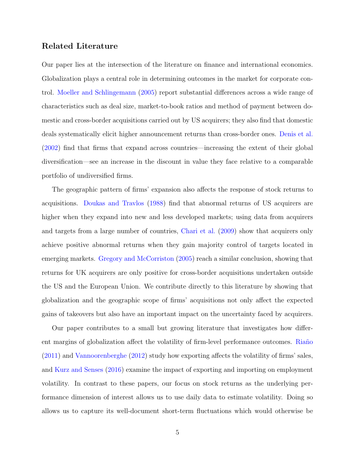#### Related Literature

Our paper lies at the intersection of the literature on finance and international economics. Globalization plays a central role in determining outcomes in the market for corporate control. [Moeller and Schlingemann](#page-26-3) [\(2005\)](#page-26-3) report substantial differences across a wide range of characteristics such as deal size, market-to-book ratios and method of payment between domestic and cross-border acquisitions carried out by US acquirers; they also find that domestic deals systematically elicit higher announcement returns than cross-border ones. [Denis et al.](#page-25-4) [\(2002\)](#page-25-4) find that firms that expand across countries—increasing the extent of their global diversification—see an increase in the discount in value they face relative to a comparable portfolio of undiversified firms.

The geographic pattern of firms' expansion also affects the response of stock returns to acquisitions. [Doukas and Travlos](#page-25-5) [\(1988\)](#page-25-5) find that abnormal returns of US acquirers are higher when they expand into new and less developed markets; using data from acquirers and targets from a large number of countries, [Chari et al.](#page-25-6) [\(2009\)](#page-25-6) show that acquirers only achieve positive abnormal returns when they gain majority control of targets located in emerging markets. [Gregory and McCorriston](#page-25-7) [\(2005\)](#page-25-7) reach a similar conclusion, showing that returns for UK acquirers are only positive for cross-border acquisitions undertaken outside the US and the European Union. We contribute directly to this literature by showing that globalization and the geographic scope of firms' acquisitions not only affect the expected gains of takeovers but also have an important impact on the uncertainty faced by acquirers.

Our paper contributes to a small but growing literature that investigates how different margins of globalization affect the volatility of firm-level performance outcomes. Riaño [\(2011\)](#page-27-1) and [Vannoorenberghe](#page-27-2) [\(2012\)](#page-27-2) study how exporting affects the volatility of firms' sales, and [Kurz and Senses](#page-26-4) [\(2016\)](#page-26-4) examine the impact of exporting and importing on employment volatility. In contrast to these papers, our focus on stock returns as the underlying performance dimension of interest allows us to use daily data to estimate volatility. Doing so allows us to capture its well-document short-term fluctuations which would otherwise be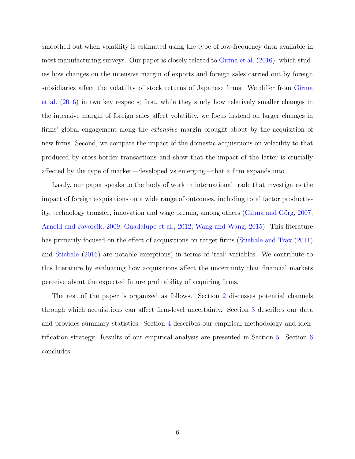smoothed out when volatility is estimated using the type of low-frequency data available in most manufacturing surveys. Our paper is closely related to [Girma et al.](#page-25-8) [\(2016\)](#page-25-8), which studies how changes on the intensive margin of exports and foreign sales carried out by foreign subsidiaries affect the volatility of stock returns of Japanese firms. We differ from [Girma](#page-25-8) [et al.](#page-25-8) [\(2016\)](#page-25-8) in two key respects; first, while they study how relatively smaller changes in the intensive margin of foreign sales affect volatility, we focus instead on larger changes in firms' global engagement along the extensive margin brought about by the acquisition of new firms. Second, we compare the impact of the domestic acquisitions on volatility to that produced by cross-border transactions and show that the impact of the latter is crucially affected by the type of market—developed vs emerging—that a firm expands into.

Lastly, our paper speaks to the body of work in international trade that investigates the impact of foreign acquisitions on a wide range of outcomes, including total factor productiv-ity, technology transfer, innovation and wage premia, among others (Girma and Görg, [2007;](#page-25-9) [Arnold and Javorcik,](#page-24-8) [2009;](#page-24-8) [Guadalupe et al.,](#page-26-5) [2012;](#page-26-5) [Wang and Wang,](#page-27-3) [2015\)](#page-27-3). This literature has primarily focused on the effect of acquisitions on target firms [\(Stiebale and Trax](#page-27-4) [\(2011\)](#page-27-4) and [Stiebale](#page-27-5) [\(2016\)](#page-27-5) are notable exceptions) in terms of 'real' variables. We contribute to this literature by evaluating how acquisitions affect the uncertainty that financial markets perceive about the expected future profitability of acquiring firms.

The rest of the paper is organized as follows. Section [2](#page-8-0) discusses potential channels through which acquisitions can affect firm-level uncertainty. Section [3](#page-11-0) describes our data and provides summary statistics. Section [4](#page-13-0) describes our empirical methodology and identification strategy. Results of our empirical analysis are presented in Section [5.](#page-17-0) Section [6](#page-22-0) concludes.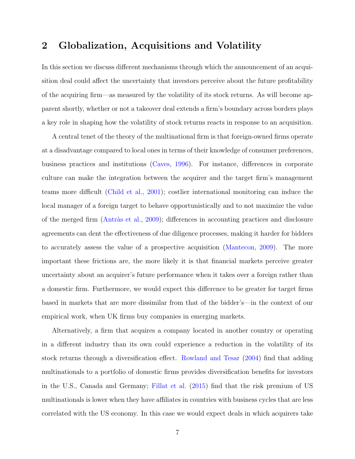## <span id="page-8-0"></span>2 Globalization, Acquisitions and Volatility

In this section we discuss different mechanisms through which the announcement of an acquisition deal could affect the uncertainty that investors perceive about the future profitability of the acquiring firm—as measured by the volatility of its stock returns. As will become apparent shortly, whether or not a takeover deal extends a firm's boundary across borders plays a key role in shaping how the volatility of stock returns reacts in response to an acquisition.

A central tenet of the theory of the multinational firm is that foreign-owned firms operate at a disadvantage compared to local ones in terms of their knowledge of consumer preferences, business practices and institutions [\(Caves,](#page-25-10) [1996\)](#page-25-10). For instance, differences in corporate culture can make the integration between the acquirer and the target firm's management teams more difficult [\(Child et al.,](#page-25-3) [2001\)](#page-25-3); costlier international monitoring can induce the local manager of a foreign target to behave opportunistically and to not maximize the value of the merged firm  $(Antr\`{a}st al., 2009)$  $(Antr\`{a}st al., 2009)$ ; differences in accounting practices and disclosure agreements can dent the effectiveness of due diligence processes, making it harder for bidders to accurately assess the value of a prospective acquisition [\(Mantecon,](#page-26-6) [2009\)](#page-26-6). The more important these frictions are, the more likely it is that financial markets perceive greater uncertainty about an acquirer's future performance when it takes over a foreign rather than a domestic firm. Furthermore, we would expect this difference to be greater for target firms based in markets that are more dissimilar from that of the bidder's—in the context of our empirical work, when UK firms buy companies in emerging markets.

Alternatively, a firm that acquires a company located in another country or operating in a different industry than its own could experience a reduction in the volatility of its stock returns through a diversification effect. [Rowland and Tesar](#page-27-6) [\(2004\)](#page-27-6) find that adding multinationals to a portfolio of domestic firms provides diversification benefits for investors in the U.S., Canada and Germany; [Fillat et al.](#page-25-11) [\(2015\)](#page-25-11) find that the risk premium of US multinationals is lower when they have affiliates in countries with business cycles that are less correlated with the US economy. In this case we would expect deals in which acquirers take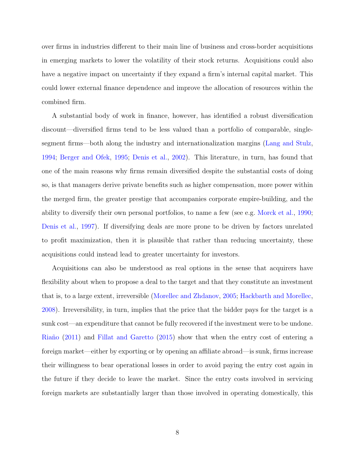over firms in industries different to their main line of business and cross-border acquisitions in emerging markets to lower the volatility of their stock returns. Acquisitions could also have a negative impact on uncertainty if they expand a firm's internal capital market. This could lower external finance dependence and improve the allocation of resources within the combined firm.

A substantial body of work in finance, however, has identified a robust diversification discount—diversified firms tend to be less valued than a portfolio of comparable, singlesegment firms—both along the industry and internationalization margins [\(Lang and Stulz,](#page-26-7) [1994;](#page-26-7) [Berger and Ofek,](#page-24-10) [1995;](#page-24-10) [Denis et al.,](#page-25-4) [2002\)](#page-25-4). This literature, in turn, has found that one of the main reasons why firms remain diversified despite the substantial costs of doing so, is that managers derive private benefits such as higher compensation, more power within the merged firm, the greater prestige that accompanies corporate empire-building, and the ability to diversify their own personal portfolios, to name a few (see e.g. [Morck et al.,](#page-26-8) [1990;](#page-26-8) [Denis et al.,](#page-25-12) [1997\)](#page-25-12). If diversifying deals are more prone to be driven by factors unrelated to profit maximization, then it is plausible that rather than reducing uncertainty, these acquisitions could instead lead to greater uncertainty for investors.

Acquisitions can also be understood as real options in the sense that acquirers have flexibility about when to propose a deal to the target and that they constitute an investment that is, to a large extent, irreversible [\(Morellec and Zhdanov,](#page-26-9) [2005;](#page-26-9) [Hackbarth and Morellec,](#page-26-10) [2008\)](#page-26-10). Irreversibility, in turn, implies that the price that the bidder pays for the target is a sunk cost—an expenditure that cannot be fully recovered if the investment were to be undone. Riaño  $(2011)$  and [Fillat and Garetto](#page-25-13)  $(2015)$  show that when the entry cost of entering a foreign market—either by exporting or by opening an affiliate abroad—is sunk, firms increase their willingness to bear operational losses in order to avoid paying the entry cost again in the future if they decide to leave the market. Since the entry costs involved in servicing foreign markets are substantially larger than those involved in operating domestically, this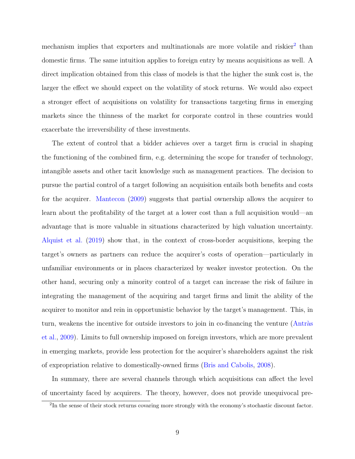mechanism implies that exporters and multinationals are more volatile and riskier<sup>[2](#page-1-0)</sup> than domestic firms. The same intuition applies to foreign entry by means acquisitions as well. A direct implication obtained from this class of models is that the higher the sunk cost is, the larger the effect we should expect on the volatility of stock returns. We would also expect a stronger effect of acquisitions on volatility for transactions targeting firms in emerging markets since the thinness of the market for corporate control in these countries would exacerbate the irreversibility of these investments.

The extent of control that a bidder achieves over a target firm is crucial in shaping the functioning of the combined firm, e.g. determining the scope for transfer of technology, intangible assets and other tacit knowledge such as management practices. The decision to pursue the partial control of a target following an acquisition entails both benefits and costs for the acquirer. [Mantecon](#page-26-6) [\(2009\)](#page-26-6) suggests that partial ownership allows the acquirer to learn about the profitability of the target at a lower cost than a full acquisition would—an advantage that is more valuable in situations characterized by high valuation uncertainty. [Alquist et al.](#page-23-2) [\(2019\)](#page-23-2) show that, in the context of cross-border acquisitions, keeping the target's owners as partners can reduce the acquirer's costs of operation—particularly in unfamiliar environments or in places characterized by weaker investor protection. On the other hand, securing only a minority control of a target can increase the risk of failure in integrating the management of the acquiring and target firms and limit the ability of the acquirer to monitor and rein in opportunistic behavior by the target's management. This, in turn, weakens the incentive for outside investors to join in co-financing the venture (Antràs [et al.,](#page-24-9) [2009\)](#page-24-9). Limits to full ownership imposed on foreign investors, which are more prevalent in emerging markets, provide less protection for the acquirer's shareholders against the risk of expropriation relative to domestically-owned firms [\(Bris and Cabolis,](#page-24-11) [2008\)](#page-24-11).

In summary, there are several channels through which acquisitions can affect the level of uncertainty faced by acquirers. The theory, however, does not provide unequivocal pre-

<sup>&</sup>lt;sup>2</sup>In the sense of their stock returns covaring more strongly with the economy's stochastic discount factor.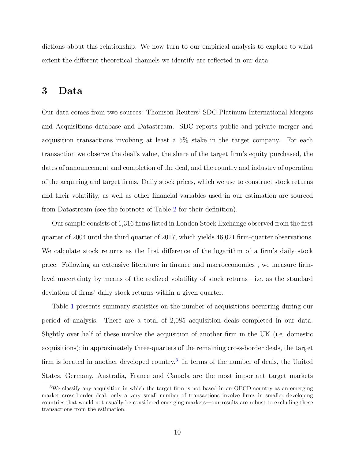dictions about this relationship. We now turn to our empirical analysis to explore to what extent the different theoretical channels we identify are reflected in our data.

## <span id="page-11-0"></span>3 Data

Our data comes from two sources: Thomson Reuters' SDC Platinum International Mergers and Acquisitions database and Datastream. SDC reports public and private merger and acquisition transactions involving at least a 5% stake in the target company. For each transaction we observe the deal's value, the share of the target firm's equity purchased, the dates of announcement and completion of the deal, and the country and industry of operation of the acquiring and target firms. Daily stock prices, which we use to construct stock returns and their volatility, as well as other financial variables used in our estimation are sourced from Datastream (see the footnote of Table [2](#page-29-0) for their definition).

Our sample consists of 1,316 firms listed in London Stock Exchange observed from the first quarter of 2004 until the third quarter of 2017, which yields 46,021 firm-quarter observations. We calculate stock returns as the first difference of the logarithm of a firm's daily stock price. Following an extensive literature in finance and macroeconomics , we measure firmlevel uncertainty by means of the realized volatility of stock returns—i.e. as the standard deviation of firms' daily stock returns within a given quarter.

Table [1](#page-28-0) presents summary statistics on the number of acquisitions occurring during our period of analysis. There are a total of 2,085 acquisition deals completed in our data. Slightly over half of these involve the acquisition of another firm in the UK (i.e. domestic acquisitions); in approximately three-quarters of the remaining cross-border deals, the target firm is located in another developed country.<sup>[3](#page-1-0)</sup> In terms of the number of deals, the United States, Germany, Australia, France and Canada are the most important target markets

<sup>&</sup>lt;sup>3</sup>We classify any acquisition in which the target firm is not based in an OECD country as an emerging market cross-border deal; only a very small number of transactions involve firms in smaller developing countries that would not usually be considered emerging markets—our results are robust to excluding these transactions from the estimation.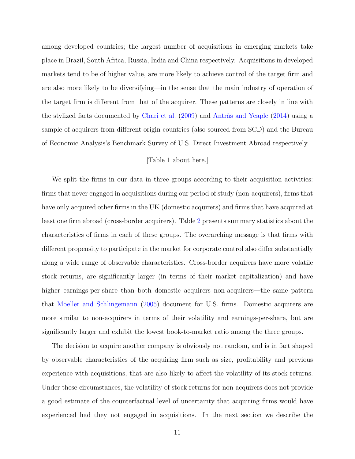among developed countries; the largest number of acquisitions in emerging markets take place in Brazil, South Africa, Russia, India and China respectively. Acquisitions in developed markets tend to be of higher value, are more likely to achieve control of the target firm and are also more likely to be diversifying—in the sense that the main industry of operation of the target firm is different from that of the acquirer. These patterns are closely in line with the stylized facts documented by [Chari et al.](#page-25-6)  $(2009)$  and Antràs and Yeaple  $(2014)$  using a sample of acquirers from different origin countries (also sourced from SCD) and the Bureau of Economic Analysis's Benchmark Survey of U.S. Direct Investment Abroad respectively.

#### [Table 1 about here.]

We split the firms in our data in three groups according to their acquisition activities: firms that never engaged in acquisitions during our period of study (non-acquirers), firms that have only acquired other firms in the UK (domestic acquirers) and firms that have acquired at least one firm abroad (cross-border acquirers). Table [2](#page-29-0) presents summary statistics about the characteristics of firms in each of these groups. The overarching message is that firms with different propensity to participate in the market for corporate control also differ substantially along a wide range of observable characteristics. Cross-border acquirers have more volatile stock returns, are significantly larger (in terms of their market capitalization) and have higher earnings-per-share than both domestic acquirers non-acquirers—the same pattern that [Moeller and Schlingemann](#page-26-3) [\(2005\)](#page-26-3) document for U.S. firms. Domestic acquirers are more similar to non-acquirers in terms of their volatility and earnings-per-share, but are significantly larger and exhibit the lowest book-to-market ratio among the three groups.

The decision to acquire another company is obviously not random, and is in fact shaped by observable characteristics of the acquiring firm such as size, profitability and previous experience with acquisitions, that are also likely to affect the volatility of its stock returns. Under these circumstances, the volatility of stock returns for non-acquirers does not provide a good estimate of the counterfactual level of uncertainty that acquiring firms would have experienced had they not engaged in acquisitions. In the next section we describe the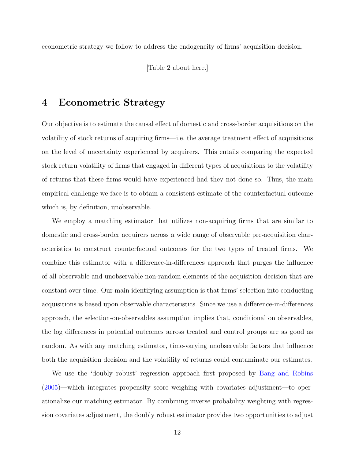econometric strategy we follow to address the endogeneity of firms' acquisition decision.

[Table 2 about here.]

## <span id="page-13-0"></span>4 Econometric Strategy

Our objective is to estimate the causal effect of domestic and cross-border acquisitions on the volatility of stock returns of acquiring firms—i.e. the average treatment effect of acquisitions on the level of uncertainty experienced by acquirers. This entails comparing the expected stock return volatility of firms that engaged in different types of acquisitions to the volatility of returns that these firms would have experienced had they not done so. Thus, the main empirical challenge we face is to obtain a consistent estimate of the counterfactual outcome which is, by definition, unobservable.

We employ a matching estimator that utilizes non-acquiring firms that are similar to domestic and cross-border acquirers across a wide range of observable pre-acquisition characteristics to construct counterfactual outcomes for the two types of treated firms. We combine this estimator with a difference-in-differences approach that purges the influence of all observable and unobservable non-random elements of the acquisition decision that are constant over time. Our main identifying assumption is that firms' selection into conducting acquisitions is based upon observable characteristics. Since we use a difference-in-differences approach, the selection-on-observables assumption implies that, conditional on observables, the log differences in potential outcomes across treated and control groups are as good as random. As with any matching estimator, time-varying unobservable factors that influence both the acquisition decision and the volatility of returns could contaminate our estimates.

We use the 'doubly robust' regression approach first proposed by [Bang and Robins](#page-24-13) [\(2005\)](#page-24-13)—which integrates propensity score weighing with covariates adjustment—to operationalize our matching estimator. By combining inverse probability weighting with regression covariates adjustment, the doubly robust estimator provides two opportunities to adjust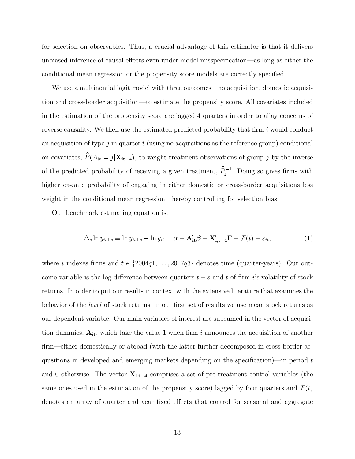for selection on observables. Thus, a crucial advantage of this estimator is that it delivers unbiased inference of causal effects even under model misspecification—as long as either the conditional mean regression or the propensity score models are correctly specified.

We use a multinomial logit model with three outcomes—no acquisition, domestic acquisition and cross-border acquisition—to estimate the propensity score. All covariates included in the estimation of the propensity score are lagged 4 quarters in order to allay concerns of reverse causality. We then use the estimated predicted probability that firm  $i$  would conduct an acquisition of type j in quarter t (using no acquisitions as the reference group) conditional reverse causality. We then use the estimated predicted probability that firm i would conduct<br>an acquisition of type j in quarter t (using no acquisitions as the reference group) conditional<br>on covariates,  $\hat{P}(A_{it} = j | \mathbf$ an acquisition of type j in quarter t (using no acquisitions as the non-covariates,  $\hat{P}(A_{it} = j | \mathbf{X}_{it-4})$ , to weight treatment observation of the predicted probability of receiving a given treatment,  $\hat{P}_i^{-1}$  $j^{-1}$ . Doing so gives firms with higher ex-ante probability of engaging in either domestic or cross-border acquisitions less weight in the conditional mean regression, thereby controlling for selection bias.

Our benchmark estimating equation is:

<span id="page-14-0"></span>
$$
\Delta_s \ln y_{it+s} \equiv \ln y_{it+s} - \ln y_{it} = \alpha + \mathbf{A'_{it}} \boldsymbol{\beta} + \mathbf{X'_{i,t-4}} \mathbf{\Gamma} + \mathcal{F}(t) + \varepsilon_{it},\tag{1}
$$

where i indexes firms and  $t \in \{2004q1, \ldots, 2017q3\}$  denotes time (quarter-years). Our outcome variable is the log difference between quarters  $t + s$  and t of firm is volatility of stock returns. In order to put our results in context with the extensive literature that examines the behavior of the level of stock returns, in our first set of results we use mean stock returns as our dependent variable. Our main variables of interest are subsumed in the vector of acquisition dummies,  $A_{it}$ , which take the value 1 when firm i announces the acquisition of another firm—either domestically or abroad (with the latter further decomposed in cross-border acquisitions in developed and emerging markets depending on the specification)—in period  $t$ and 0 otherwise. The vector  $X_{i,t-4}$  comprises a set of pre-treatment control variables (the same ones used in the estimation of the propensity score) lagged by four quarters and  $\mathcal{F}(t)$ denotes an array of quarter and year fixed effects that control for seasonal and aggregate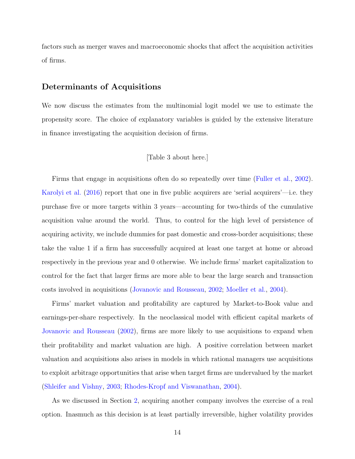factors such as merger waves and macroeconomic shocks that affect the acquisition activities of firms.

#### Determinants of Acquisitions

We now discuss the estimates from the multinomial logit model we use to estimate the propensity score. The choice of explanatory variables is guided by the extensive literature in finance investigating the acquisition decision of firms.

#### [Table 3 about here.]

Firms that engage in acquisitions often do so repeatedly over time [\(Fuller et al.,](#page-25-14) [2002\)](#page-25-14). [Karolyi et al.](#page-26-11) [\(2016\)](#page-26-11) report that one in five public acquirers are 'serial acquirers'—i.e. they purchase five or more targets within 3 years—accounting for two-thirds of the cumulative acquisition value around the world. Thus, to control for the high level of persistence of acquiring activity, we include dummies for past domestic and cross-border acquisitions; these take the value 1 if a firm has successfully acquired at least one target at home or abroad respectively in the previous year and 0 otherwise. We include firms' market capitalization to control for the fact that larger firms are more able to bear the large search and transaction costs involved in acquisitions [\(Jovanovic and Rousseau,](#page-26-12) [2002;](#page-26-12) [Moeller et al.,](#page-26-13) [2004\)](#page-26-13).

Firms' market valuation and profitability are captured by Market-to-Book value and earnings-per-share respectively. In the neoclassical model with efficient capital markets of [Jovanovic and Rousseau](#page-26-12) [\(2002\)](#page-26-12), firms are more likely to use acquisitions to expand when their profitability and market valuation are high. A positive correlation between market valuation and acquisitions also arises in models in which rational managers use acquisitions to exploit arbitrage opportunities that arise when target firms are undervalued by the market [\(Shleifer and Vishny,](#page-27-7) [2003;](#page-27-7) [Rhodes-Kropf and Viswanathan,](#page-27-8) [2004\)](#page-27-8).

As we discussed in Section [2,](#page-8-0) acquiring another company involves the exercise of a real option. Inasmuch as this decision is at least partially irreversible, higher volatility provides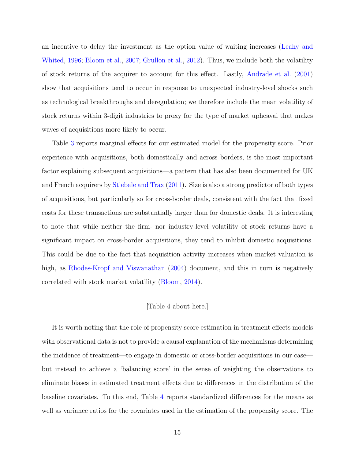an incentive to delay the investment as the option value of waiting increases [\(Leahy and](#page-26-1) [Whited,](#page-26-1) [1996;](#page-26-1) [Bloom et al.,](#page-24-2) [2007;](#page-24-2) [Grullon et al.,](#page-25-1) [2012\)](#page-25-1). Thus, we include both the volatility of stock returns of the acquirer to account for this effect. Lastly, [Andrade et al.](#page-24-0) [\(2001\)](#page-24-0) show that acquisitions tend to occur in response to unexpected industry-level shocks such as technological breakthroughs and deregulation; we therefore include the mean volatility of stock returns within 3-digit industries to proxy for the type of market upheaval that makes waves of acquisitions more likely to occur.

Table [3](#page-30-0) reports marginal effects for our estimated model for the propensity score. Prior experience with acquisitions, both domestically and across borders, is the most important factor explaining subsequent acquisitions—a pattern that has also been documented for UK and French acquirers by [Stiebale and Trax](#page-27-4) [\(2011\)](#page-27-4). Size is also a strong predictor of both types of acquisitions, but particularly so for cross-border deals, consistent with the fact that fixed costs for these transactions are substantially larger than for domestic deals. It is interesting to note that while neither the firm- nor industry-level volatility of stock returns have a significant impact on cross-border acquisitions, they tend to inhibit domestic acquisitions. This could be due to the fact that acquisition activity increases when market valuation is high, as [Rhodes-Kropf and Viswanathan](#page-27-8) [\(2004\)](#page-27-8) document, and this in turn is negatively correlated with stock market volatility [\(Bloom,](#page-24-14) [2014\)](#page-24-14).

#### [Table 4 about here.]

It is worth noting that the role of propensity score estimation in treatment effects models with observational data is not to provide a causal explanation of the mechanisms determining the incidence of treatment—to engage in domestic or cross-border acquisitions in our case but instead to achieve a 'balancing score' in the sense of weighting the observations to eliminate biases in estimated treatment effects due to differences in the distribution of the baseline covariates. To this end, Table [4](#page-31-0) reports standardized differences for the means as well as variance ratios for the covariates used in the estimation of the propensity score. The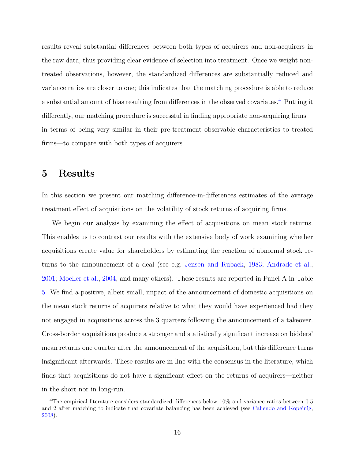results reveal substantial differences between both types of acquirers and non-acquirers in the raw data, thus providing clear evidence of selection into treatment. Once we weight nontreated observations, however, the standardized differences are substantially reduced and variance ratios are closer to one; this indicates that the matching procedure is able to reduce a substantial amount of bias resulting from differences in the observed covariates.<sup>[4](#page-1-0)</sup> Putting it differently, our matching procedure is successful in finding appropriate non-acquiring firms in terms of being very similar in their pre-treatment observable characteristics to treated firms—to compare with both types of acquirers.

## <span id="page-17-0"></span>5 Results

In this section we present our matching difference-in-differences estimates of the average treatment effect of acquisitions on the volatility of stock returns of acquiring firms.

We begin our analysis by examining the effect of acquisitions on mean stock returns. This enables us to contrast our results with the extensive body of work examining whether acquisitions create value for shareholders by estimating the reaction of abnormal stock returns to the announcement of a deal (see e.g. [Jensen and Ruback,](#page-26-14) [1983;](#page-26-14) [Andrade et al.,](#page-24-0) [2001;](#page-24-0) [Moeller et al.,](#page-26-13) [2004,](#page-26-13) and many others). These results are reported in Panel A in Table [5.](#page-32-0) We find a positive, albeit small, impact of the announcement of domestic acquisitions on the mean stock returns of acquirers relative to what they would have experienced had they not engaged in acquisitions across the 3 quarters following the announcement of a takeover. Cross-border acquisitions produce a stronger and statistically significant increase on bidders' mean returns one quarter after the announcement of the acquisition, but this difference turns insignificant afterwards. These results are in line with the consensus in the literature, which finds that acquisitions do not have a significant effect on the returns of acquirers—neither in the short nor in long-run.

<sup>4</sup>The empirical literature considers standardized differences below 10% and variance ratios between 0.5 and 2 after matching to indicate that covariate balancing has been achieved (see [Caliendo and Kopeinig,](#page-24-15) [2008\)](#page-24-15).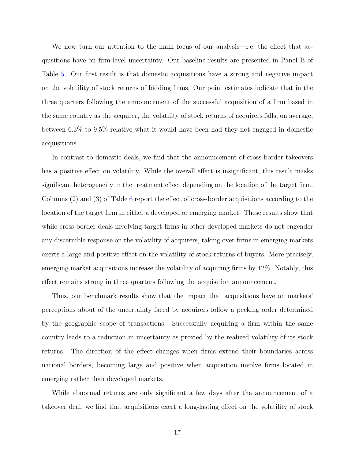We now turn our attention to the main focus of our analysis—i.e. the effect that acquisitions have on firm-level uncertainty. Our baseline results are presented in Panel B of Table [5.](#page-32-0) Our first result is that domestic acquisitions have a strong and negative impact on the volatility of stock returns of bidding firms. Our point estimates indicate that in the three quarters following the announcement of the successful acquisition of a firm based in the same country as the acquirer, the volatility of stock returns of acquirers falls, on average, between 6.3% to 9.5% relative what it would have been had they not engaged in domestic acquisitions.

In contrast to domestic deals, we find that the announcement of cross-border takeovers has a positive effect on volatility. While the overall effect is insignificant, this result masks significant heterogeneity in the treatment effect depending on the location of the target firm. Columns (2) and (3) of Table [6](#page-32-1) report the effect of cross-border acquisitions according to the location of the target firm in either a developed or emerging market. These results show that while cross-border deals involving target firms in other developed markets do not engender any discernible response on the volatility of acquirers, taking over firms in emerging markets exerts a large and positive effect on the volatility of stock returns of buyers. More precisely, emerging market acquisitions increase the volatility of acquiring firms by 12%. Notably, this effect remains strong in three quarters following the acquisition announcement.

Thus, our benchmark results show that the impact that acquisitions have on markets' perceptions about of the uncertainty faced by acquirers follow a pecking order determined by the geographic scope of transactions. Successfully acquiring a firm within the same country leads to a reduction in uncertainty as proxied by the realized volatility of its stock returns. The direction of the effect changes when firms extend their boundaries across national borders, becoming large and positive when acquisition involve firms located in emerging rather than developed markets.

While abnormal returns are only significant a few days after the announcement of a takeover deal, we find that acquisitions exert a long-lasting effect on the volatility of stock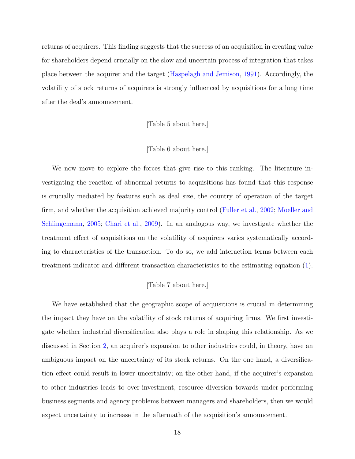returns of acquirers. This finding suggests that the success of an acquisition in creating value for shareholders depend crucially on the slow and uncertain process of integration that takes place between the acquirer and the target [\(Haspelagh and Jemison,](#page-26-2) [1991\)](#page-26-2). Accordingly, the volatility of stock returns of acquirers is strongly influenced by acquisitions for a long time after the deal's announcement.

#### [Table 5 about here.]

#### [Table 6 about here.]

We now move to explore the forces that give rise to this ranking. The literature investigating the reaction of abnormal returns to acquisitions has found that this response is crucially mediated by features such as deal size, the country of operation of the target firm, and whether the acquisition achieved majority control [\(Fuller et al.,](#page-25-14) [2002;](#page-25-14) [Moeller and](#page-26-3) [Schlingemann,](#page-26-3) [2005;](#page-26-3) [Chari et al.,](#page-25-6) [2009\)](#page-25-6). In an analogous way, we investigate whether the treatment effect of acquisitions on the volatility of acquirers varies systematically according to characteristics of the transaction. To do so, we add interaction terms between each treatment indicator and different transaction characteristics to the estimating equation [\(1\)](#page-14-0).

#### [Table 7 about here.]

We have established that the geographic scope of acquisitions is crucial in determining the impact they have on the volatility of stock returns of acquiring firms. We first investigate whether industrial diversification also plays a role in shaping this relationship. As we discussed in Section [2,](#page-8-0) an acquirer's expansion to other industries could, in theory, have an ambiguous impact on the uncertainty of its stock returns. On the one hand, a diversification effect could result in lower uncertainty; on the other hand, if the acquirer's expansion to other industries leads to over-investment, resource diversion towards under-performing business segments and agency problems between managers and shareholders, then we would expect uncertainty to increase in the aftermath of the acquisition's announcement.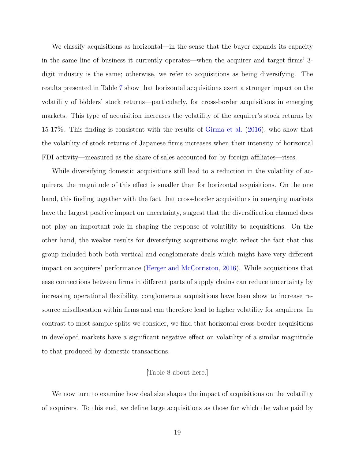We classify acquisitions as horizontal—in the sense that the buyer expands its capacity in the same line of business it currently operates—when the acquirer and target firms' 3 digit industry is the same; otherwise, we refer to acquisitions as being diversifying. The results presented in Table [7](#page-33-0) show that horizontal acquisitions exert a stronger impact on the volatility of bidders' stock returns—particularly, for cross-border acquisitions in emerging markets. This type of acquisition increases the volatility of the acquirer's stock returns by 15-17%. This finding is consistent with the results of [Girma et al.](#page-25-8) [\(2016\)](#page-25-8), who show that the volatility of stock returns of Japanese firms increases when their intensity of horizontal FDI activity—measured as the share of sales accounted for by foreign affiliates—rises.

While diversifying domestic acquisitions still lead to a reduction in the volatility of acquirers, the magnitude of this effect is smaller than for horizontal acquisitions. On the one hand, this finding together with the fact that cross-border acquisitions in emerging markets have the largest positive impact on uncertainty, suggest that the diversification channel does not play an important role in shaping the response of volatility to acquisitions. On the other hand, the weaker results for diversifying acquisitions might reflect the fact that this group included both both vertical and conglomerate deals which might have very different impact on acquirers' performance [\(Herger and McCorriston,](#page-26-15) [2016\)](#page-26-15). While acquisitions that ease connections between firms in different parts of supply chains can reduce uncertainty by increasing operational flexibility, conglomerate acquisitions have been show to increase resource misallocation within firms and can therefore lead to higher volatility for acquirers. In contrast to most sample splits we consider, we find that horizontal cross-border acquisitions in developed markets have a significant negative effect on volatility of a similar magnitude to that produced by domestic transactions.

#### [Table 8 about here.]

We now turn to examine how deal size shapes the impact of acquisitions on the volatility of acquirers. To this end, we define large acquisitions as those for which the value paid by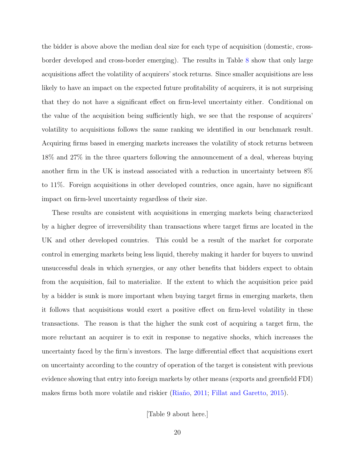the bidder is above above the median deal size for each type of acquisition (domestic, crossborder developed and cross-border emerging). The results in Table [8](#page-34-0) show that only large acquisitions affect the volatility of acquirers' stock returns. Since smaller acquisitions are less likely to have an impact on the expected future profitability of acquirers, it is not surprising that they do not have a significant effect on firm-level uncertainty either. Conditional on the value of the acquisition being sufficiently high, we see that the response of acquirers' volatility to acquisitions follows the same ranking we identified in our benchmark result. Acquiring firms based in emerging markets increases the volatility of stock returns between 18% and 27% in the three quarters following the announcement of a deal, whereas buying another firm in the UK is instead associated with a reduction in uncertainty between 8% to 11%. Foreign acquisitions in other developed countries, once again, have no significant impact on firm-level uncertainty regardless of their size.

These results are consistent with acquisitions in emerging markets being characterized by a higher degree of irreversibility than transactions where target firms are located in the UK and other developed countries. This could be a result of the market for corporate control in emerging markets being less liquid, thereby making it harder for buyers to unwind unsuccessful deals in which synergies, or any other benefits that bidders expect to obtain from the acquisition, fail to materialize. If the extent to which the acquisition price paid by a bidder is sunk is more important when buying target firms in emerging markets, then it follows that acquisitions would exert a positive effect on firm-level volatility in these transactions. The reason is that the higher the sunk cost of acquiring a target firm, the more reluctant an acquirer is to exit in response to negative shocks, which increases the uncertainty faced by the firm's investors. The large differential effect that acquisitions exert on uncertainty according to the country of operation of the target is consistent with previous evidence showing that entry into foreign markets by other means (exports and greenfield FDI) makes firms both more volatile and riskier (Riaño, [2011;](#page-27-1) [Fillat and Garetto,](#page-25-13) [2015\)](#page-25-13).

[Table 9 about here.]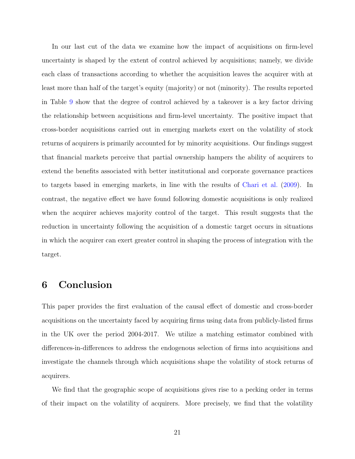In our last cut of the data we examine how the impact of acquisitions on firm-level uncertainty is shaped by the extent of control achieved by acquisitions; namely, we divide each class of transactions according to whether the acquisition leaves the acquirer with at least more than half of the target's equity (majority) or not (minority). The results reported in Table [9](#page-35-0) show that the degree of control achieved by a takeover is a key factor driving the relationship between acquisitions and firm-level uncertainty. The positive impact that cross-border acquisitions carried out in emerging markets exert on the volatility of stock returns of acquirers is primarily accounted for by minority acquisitions. Our findings suggest that financial markets perceive that partial ownership hampers the ability of acquirers to extend the benefits associated with better institutional and corporate governance practices to targets based in emerging markets, in line with the results of [Chari et al.](#page-25-6) [\(2009\)](#page-25-6). In contrast, the negative effect we have found following domestic acquisitions is only realized when the acquirer achieves majority control of the target. This result suggests that the reduction in uncertainty following the acquisition of a domestic target occurs in situations in which the acquirer can exert greater control in shaping the process of integration with the target.

## <span id="page-22-0"></span>6 Conclusion

This paper provides the first evaluation of the causal effect of domestic and cross-border acquisitions on the uncertainty faced by acquiring firms using data from publicly-listed firms in the UK over the period 2004-2017. We utilize a matching estimator combined with differences-in-differences to address the endogenous selection of firms into acquisitions and investigate the channels through which acquisitions shape the volatility of stock returns of acquirers.

We find that the geographic scope of acquisitions gives rise to a pecking order in terms of their impact on the volatility of acquirers. More precisely, we find that the volatility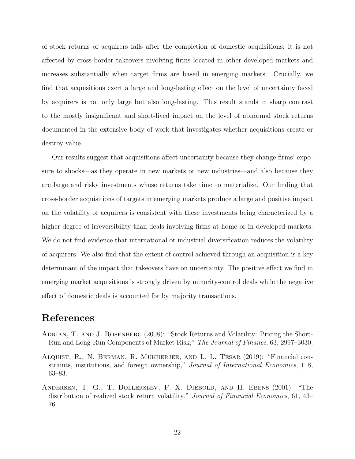of stock returns of acquirers falls after the completion of domestic acquisitions; it is not affected by cross-border takeovers involving firms located in other developed markets and increases substantially when target firms are based in emerging markets. Crucially, we find that acquisitions exert a large and long-lasting effect on the level of uncertainty faced by acquirers is not only large but also long-lasting. This result stands in sharp contrast to the mostly insignificant and short-lived impact on the level of abnormal stock returns documented in the extensive body of work that investigates whether acquisitions create or destroy value.

Our results suggest that acquisitions affect uncertainty because they change firms' exposure to shocks—as they operate in new markets or new industries—and also because they are large and risky investments whose returns take time to materialize. Our finding that cross-border acquisitions of targets in emerging markets produce a large and positive impact on the volatility of acquirers is consistent with these investments being characterized by a higher degree of irreversibility than deals involving firms at home or in developed markets. We do not find evidence that international or industrial diversification reduces the volatility of acquirers. We also find that the extent of control achieved through an acquisition is a key determinant of the impact that takeovers have on uncertainty. The positive effect we find in emerging market acquisitions is strongly driven by minority-control deals while the negative effect of domestic deals is accounted for by majority transactions.

## References

- <span id="page-23-1"></span>ADRIAN, T. AND J. ROSENBERG (2008): "Stock Returns and Volatility: Pricing the Short-Run and Long-Run Components of Market Risk," The Journal of Finance, 63, 2997–3030.
- <span id="page-23-2"></span>Alquist, R., N. Berman, R. Mukherjee, and L. L. Tesar (2019): "Financial constraints, institutions, and foreign ownership," Journal of International Economics, 118, 63–83.
- <span id="page-23-0"></span>Andersen, T. G., T. Bollerslev, F. X. Diebold, and H. Ebens (2001): "The distribution of realized stock return volatility," Journal of Financial Economics, 61, 43– 76.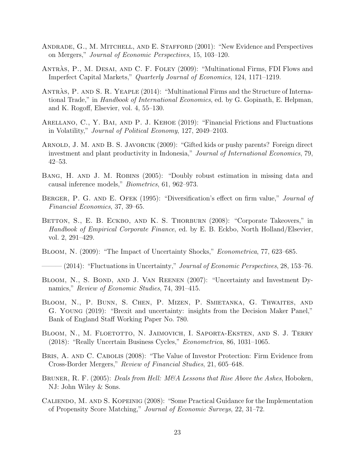- <span id="page-24-0"></span>ANDRADE, G., M. MITCHELL, AND E. STAFFORD (2001): "New Evidence and Perspectives on Mergers," Journal of Economic Perspectives, 15, 103–120.
- <span id="page-24-9"></span>ANTRAS, P., M. DESAI, AND C. F. FOLEY (2009): "Multinational Firms, FDI Flows and Imperfect Capital Markets," Quarterly Journal of Economics, 124, 1171–1219.
- <span id="page-24-12"></span>ANTRAS, P. AND S. R. YEAPLE (2014): "Multinational Firms and the Structure of International Trade," in Handbook of International Economics, ed. by G. Gopinath, E. Helpman, and K. Rogoff, Elsevier, vol. 4, 55–130.
- <span id="page-24-6"></span>Arellano, C., Y. Bai, and P. J. Kehoe (2019): "Financial Frictions and Fluctuations in Volatility," Journal of Political Economy, 127, 2049–2103.
- <span id="page-24-8"></span>Arnold, J. M. and B. S. Javorcik (2009): "Gifted kids or pushy parents? Foreign direct investment and plant productivity in Indonesia," Journal of International Economics, 79, 42–53.
- <span id="page-24-13"></span>BANG, H. AND J. M. ROBINS (2005): "Doubly robust estimation in missing data and causal inference models," Biometrics, 61, 962–973.
- <span id="page-24-10"></span>BERGER, P. G. AND E. OFEK (1995): "Diversification's effect on firm value," *Journal of* Financial Economics, 37, 39–65.
- <span id="page-24-1"></span>BETTON, S., E. B. ECKBO, AND K. S. THORBURN (2008): "Corporate Takeovers," in Handbook of Empirical Corporate Finance, ed. by E. B. Eckbo, North Holland/Elsevier, vol. 2, 291–429.
- <span id="page-24-5"></span>BLOOM, N. (2009): "The Impact of Uncertainty Shocks," *Econometrica*, 77, 623–685.
- <span id="page-24-14"></span> $-(2014)$ : "Fluctuations in Uncertainty," *Journal of Economic Perspectives*, 28, 153–76.
- <span id="page-24-2"></span>BLOOM, N., S. BOND, AND J. VAN REENEN (2007): "Uncertainty and Investment Dynamics," Review of Economic Studies, 74, 391–415.
- <span id="page-24-7"></span>Bloom, N., P. Bunn, S. Chen, P. Mizen, P. Smietanka, G. Thwaites, and G. Young (2019): "Brexit and uncertainty: insights from the Decision Maker Panel," Bank of England Staff Working Paper No. 780.
- <span id="page-24-3"></span>Bloom, N., M. Floetotto, N. Jaimovich, I. Saporta-Eksten, and S. J. Terry (2018): "Really Uncertain Business Cycles," Econometrica, 86, 1031–1065.
- <span id="page-24-11"></span>Bris, A. and C. Cabolis (2008): "The Value of Investor Protection: Firm Evidence from Cross-Border Mergers," Review of Financial Studies, 21, 605–648.
- <span id="page-24-4"></span>BRUNER, R. F. (2005): *Deals from Hell: M&A Lessons that Rise Above the Ashes*, Hoboken, NJ: John Wiley & Sons.
- <span id="page-24-15"></span>Caliendo, M. and S. Kopeinig (2008): "Some Practical Guidance for the Implementation of Propensity Score Matching," Journal of Economic Surveys, 22, 31–72.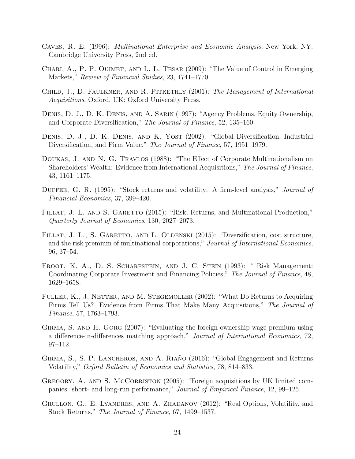- <span id="page-25-10"></span>Caves, R. E. (1996): Multinational Enterprise and Economic Analysis, New York, NY: Cambridge University Press, 2nd ed.
- <span id="page-25-6"></span>Chari, A., P. P. Ouimet, and L. L. Tesar (2009): "The Value of Control in Emerging Markets," Review of Financial Studies, 23, 1741–1770.
- <span id="page-25-3"></span>CHILD, J., D. FAULKNER, AND R. PITKETHLY (2001): The Management of International Acquisitions, Oxford, UK: Oxford University Press.
- <span id="page-25-12"></span>Denis, D. J., D. K. Denis, and A. Sarin (1997): "Agency Problems, Equity Ownership, and Corporate Diversification," The Journal of Finance, 52, 135–160.
- <span id="page-25-4"></span>DENIS, D. J., D. K. DENIS, AND K. YOST (2002): "Global Diversification, Industrial Diversification, and Firm Value," The Journal of Finance, 57, 1951–1979.
- <span id="page-25-5"></span>Doukas, J. and N. G. Travlos (1988): "The Effect of Corporate Multinationalism on Shareholders' Wealth: Evidence from International Acquisitions," The Journal of Finance, 43, 1161–1175.
- <span id="page-25-0"></span>DUFFEE, G. R. (1995): "Stock returns and volatility: A firm-level analysis," *Journal of* Financial Economics, 37, 399–420.
- <span id="page-25-13"></span>FILLAT, J. L. AND S. GARETTO (2015): "Risk, Returns, and Multinational Production," Quarterly Journal of Economics, 130, 2027–2073.
- <span id="page-25-11"></span>FILLAT, J. L., S. GARETTO, AND L. OLDENSKI (2015): "Diversification, cost structure, and the risk premium of multinational corporations," Journal of International Economics, 96, 37–54.
- <span id="page-25-2"></span>FROOT, K. A., D. S. SCHARFSTEIN, AND J. C. STEIN (1993): "Risk Management: Coordinating Corporate Investment and Financing Policies," The Journal of Finance, 48, 1629–1658.
- <span id="page-25-14"></span>FULLER, K., J. NETTER, AND M. STEGEMOLLER (2002): "What Do Returns to Acquiring Firms Tell Us? Evidence from Firms That Make Many Acquisitions," The Journal of Finance, 57, 1763–1793.
- <span id="page-25-9"></span>GIRMA, S. AND H. GÖRG  $(2007)$ : "Evaluating the foreign ownership wage premium using a difference-in-differences matching approach," Journal of International Economics, 72, 97–112.
- <span id="page-25-8"></span>GIRMA, S., S. P. LANCHEROS, AND A. RIANO (2016): "Global Engagement and Returns Volatility," Oxford Bulletin of Economics and Statistics, 78, 814–833.
- <span id="page-25-7"></span>GREGORY, A. AND S. MCCORRISTON (2005): "Foreign acquisitions by UK limited companies: short- and long-run performance," Journal of Empirical Finance, 12, 99–125.
- <span id="page-25-1"></span>GRULLON, G., E. LYANDRES, AND A. ZHADANOV (2012): "Real Options, Volatility, and Stock Returns," The Journal of Finance, 67, 1499–1537.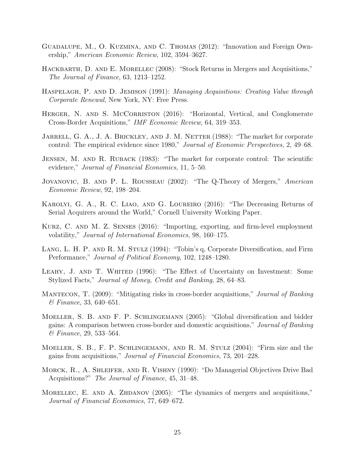- <span id="page-26-5"></span>Guadalupe, M., O. Kuzmina, and C. Thomas (2012): "Innovation and Foreign Ownership," American Economic Review, 102, 3594–3627.
- <span id="page-26-10"></span>HACKBARTH, D. AND E. MORELLEC (2008): "Stock Returns in Mergers and Acquisitions," The Journal of Finance, 63, 1213–1252.
- <span id="page-26-2"></span>HASPELAGH, P. AND D. JEMISON (1991): Managing Acquisitions: Creating Value through Corporate Renewal, New York, NY: Free Press.
- <span id="page-26-15"></span>HERGER, N. AND S. MCCORRISTON (2016): "Horizontal, Vertical, and Conglomerate Cross-Border Acquisitions," IMF Economic Review, 64, 319–353.
- <span id="page-26-0"></span>JARRELL, G. A., J. A. BRICKLEY, AND J. M. NETTER (1988): "The market for corporate control: The empirical evidence since 1980," Journal of Economic Perspectives, 2, 49–68.
- <span id="page-26-14"></span>Jensen, M. and R. Ruback (1983): "The market for corporate control: The scientific evidence," Journal of Financial Economics, 11, 5–50.
- <span id="page-26-12"></span>Jovanovic, B. and P. L. Rousseau (2002): "The Q-Theory of Mergers," American Economic Review, 92, 198–204.
- <span id="page-26-11"></span>Karolyi, G. A., R. C. Liao, and G. Loureiro (2016): "The Decreasing Returns of Serial Acquirers around the World," Cornell University Working Paper.
- <span id="page-26-4"></span>Kurz, C. and M. Z. Senses (2016): "Importing, exporting, and firm-level employment volatility," Journal of International Economics, 98, 160–175.
- <span id="page-26-7"></span>LANG, L. H. P. AND R. M. STULZ (1994): "Tobin's q, Corporate Diversification, and Firm Performance," Journal of Political Economy, 102, 1248–1280.
- <span id="page-26-1"></span>LEAHY, J. AND T. WHITED (1996): "The Effect of Uncertainty on Investment: Some Stylized Facts," Journal of Money, Credit and Banking, 28, 64–83.
- <span id="page-26-6"></span>MANTECON, T. (2009): "Mitigating risks in cross-border acquisitions," *Journal of Banking* & Finance, 33, 640–651.
- <span id="page-26-3"></span>Moeller, S. B. and F. P. Schlingemann (2005): "Global diversification and bidder gains: A comparison between cross-border and domestic acquisitions," Journal of Banking & Finance, 29, 533–564.
- <span id="page-26-13"></span>Moeller, S. B., F. P. Schlingemann, and R. M. Stulz (2004): "Firm size and the gains from acquisitions," Journal of Financial Economics, 73, 201–228.
- <span id="page-26-8"></span>Morck, R., A. Shleifer, and R. Vishny (1990): "Do Managerial Objectives Drive Bad Acquisitions?" The Journal of Finance, 45, 31–48.
- <span id="page-26-9"></span>MORELLEC, E. AND A. ZHDANOV  $(2005)$ : "The dynamics of mergers and acquisitions," Journal of Financial Economics, 77, 649–672.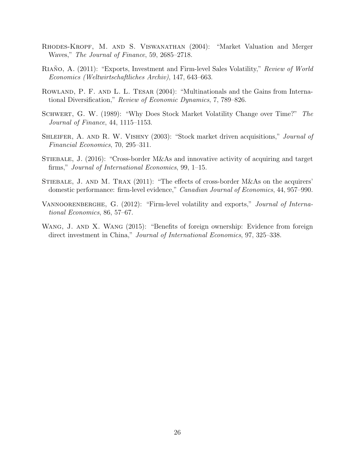- <span id="page-27-8"></span>Rhodes-Kropf, M. and S. Viswanathan (2004): "Market Valuation and Merger Waves," The Journal of Finance, 59, 2685–2718.
- <span id="page-27-1"></span>RIANO, A. (2011): "Exports, Investment and Firm-level Sales Volatility," Review of World Economics (Weltwirtschaftliches Archiv), 147, 643–663.
- <span id="page-27-6"></span>Rowland, P. F. and L. L. Tesar (2004): "Multinationals and the Gains from International Diversification," Review of Economic Dynamics, 7, 789–826.
- <span id="page-27-0"></span>Schwert, G. W. (1989): "Why Does Stock Market Volatility Change over Time?" The Journal of Finance, 44, 1115–1153.
- <span id="page-27-7"></span>SHLEIFER, A. AND R. W. VISHNY (2003): "Stock market driven acquisitions," *Journal of* Financial Economics, 70, 295–311.
- <span id="page-27-5"></span>STIEBALE, J. (2016): "Cross-border M&As and innovative activity of acquiring and target firms," Journal of International Economics, 99, 1–15.
- <span id="page-27-4"></span>STIEBALE, J. AND M. TRAX (2011): "The effects of cross-border M&As on the acquirers' domestic performance: firm-level evidence," *Canadian Journal of Economics*, 44, 957–990.
- <span id="page-27-2"></span>VANNOORENBERGHE, G. (2012): "Firm-level volatility and exports," *Journal of Interna*tional Economics, 86, 57–67.
- <span id="page-27-3"></span>WANG, J. AND X. WANG (2015): "Benefits of foreign ownership: Evidence from foreign direct investment in China," *Journal of International Economics*, 97, 325–338.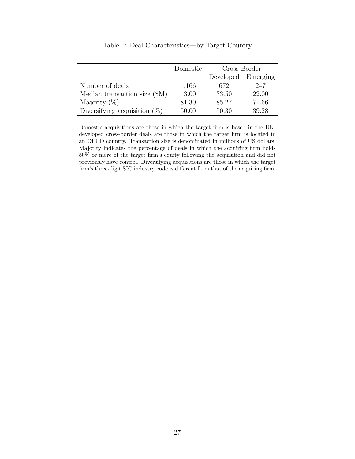<span id="page-28-0"></span>

|                                        | Domestic | Cross-Border       |       |
|----------------------------------------|----------|--------------------|-------|
|                                        |          | Developed Emerging |       |
| Number of deals                        | 1,166    | 672                | 247   |
| Median transaction size $(\text{$M$})$ | 13.00    | 33.50              | 22.00 |
| Majority $(\%)$                        | 81.30    | 85.27              | 71.66 |
| Diversifying acquisition $(\%)$        | 50.00    | 50.30              | 39.28 |

Table 1: Deal Characteristics—by Target Country

Domestic acquisitions are those in which the target firm is based in the UK; developed cross-border deals are those in which the target firm is located in an OECD country. Transaction size is denominated in millions of US dollars. Majority indicates the percentage of deals in which the acquiring firm holds 50% or more of the target firm's equity following the acquisition and did not previously have control. Diversifying acquisitions are those in which the target firm's three-digit SIC industry code is different from that of the acquiring firm.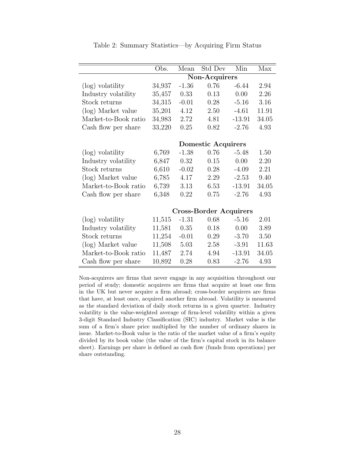<span id="page-29-0"></span>

|                      | Obs.                      | Mean    | Std Dev                       | Min      | Max   |
|----------------------|---------------------------|---------|-------------------------------|----------|-------|
|                      | Non-Acquirers             |         |                               |          |       |
| (log) volatility     | 34,937                    | $-1.36$ | 0.76                          | $-6.44$  | 2.94  |
| Industry volatility  | 35,457                    | 0.33    | 0.13                          | 0.00     | 2.26  |
| Stock returns        | 34,315                    | $-0.01$ | 0.28                          | $-5.16$  | 3.16  |
| (log) Market value   | 35,201                    | 4.12    | 2.50                          | $-4.61$  | 11.91 |
| Market-to-Book ratio | 34,983                    | 2.72    | 4.81                          | $-13.91$ | 34.05 |
| Cash flow per share  | 33,220                    | 0.25    | 0.82                          | $-2.76$  | 4.93  |
|                      |                           |         |                               |          |       |
|                      | <b>Domestic Acquirers</b> |         |                               |          |       |
| (log) volatility     | 6,769                     | $-1.38$ | 0.76                          | $-5.48$  | 1.50  |
| Industry volatility  | 6,847                     | 0.32    | 0.15                          | 0.00     | 2.20  |
| Stock returns        | 6,610                     | $-0.02$ | 0.28                          | $-4.09$  | 2.21  |
| (log) Market value   | 6,785                     | 4.17    | 2.29                          | $-2.53$  | 9.40  |
| Market-to-Book ratio | 6,739                     | 3.13    | 6.53                          | $-13.91$ | 34.05 |
| Cash flow per share  | 6,348                     | 0.22    | 0.75                          | $-2.76$  | 4.93  |
|                      |                           |         |                               |          |       |
|                      |                           |         | <b>Cross-Border Acquirers</b> |          |       |
| (log) volatility     | 11,515                    | $-1.31$ | 0.68                          | $-5.16$  | 2.01  |
| Industry volatility  | 11,581                    | 0.35    | 0.18                          | 0.00     | 3.89  |
| Stock returns        | 11,254                    | $-0.01$ | 0.29                          | $-3.70$  | 3.50  |
| (log) Market value   | 11,508                    | 5.03    | 2.58                          | $-3.91$  | 11.63 |
| Market-to-Book ratio | 11,487                    | 2.74    | 4.94                          | $-13.91$ | 34.05 |
| Cash flow per share  | 10,892                    | 0.28    | 0.83                          | $-2.76$  | 4.93  |

Table 2: Summary Statistics—by Acquiring Firm Status

Non-acquirers are firms that never engage in any acquisition throughout our period of study; domestic acquirers are firms that acquire at least one firm in the UK but never acquire a firm abroad; cross-border acquirers are firms that have, at least once, acquired another firm abroad. Volatility is measured as the standard deviation of daily stock returns in a given quarter. Industry volatility is the value-weighted average of firm-level volatility within a given 3-digit Standard Industry Classification (SIC) industry. Market value is the sum of a firm's share price multiplied by the number of ordinary shares in issue. Market-to-Book value is the ratio of the market value of a firm's equity divided by its book value (the value of the firm's capital stock in its balance sheet). Earnings per share is defined as cash flow (funds from operations) per share outstanding.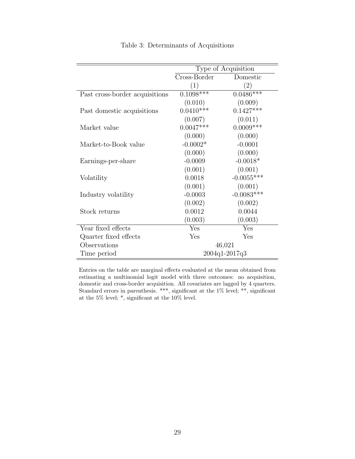<span id="page-30-0"></span>

|                                | Type of Acquisition |                   |  |
|--------------------------------|---------------------|-------------------|--|
|                                | Cross-Border        | Domestic          |  |
|                                | (1)                 | $\left( 2\right)$ |  |
| Past cross-border acquisitions | $0.1098***$         | $0.0486***$       |  |
|                                | (0.010)             | (0.009)           |  |
| Past domestic acquisitions     | $0.0410***$         | $0.1427***$       |  |
|                                | (0.007)             | (0.011)           |  |
| Market value                   | $0.0047***$         | $0.0009$ ***      |  |
|                                | (0.000)             | (0.000)           |  |
| Market-to-Book value           | $-0.0002*$          | $-0.0001$         |  |
|                                | (0.000)             | (0.000)           |  |
| Earnings-per-share             | $-0.0009$           | $-0.0018*$        |  |
|                                | (0.001)             | (0.001)           |  |
| Volatility                     | 0.0018              | $-0.0055***$      |  |
|                                | (0.001)             | (0.001)           |  |
| Industry volatility            | $-0.0003$           | $-0.0083***$      |  |
|                                | (0.002)             | (0.002)           |  |
| Stock returns                  | 0.0012              | 0.0044            |  |
|                                | (0.003)             | (0.003)           |  |
| Year fixed effects             | Yes                 | Yes               |  |
| Quarter fixed effects          | Yes                 | Yes               |  |
| Observations                   |                     | 46,021            |  |
| Time period                    | 2004q1-2017q3       |                   |  |

#### Table 3: Determinants of Acquisitions

Entries on the table are marginal effects evaluated at the mean obtained from estimating a multinomial logit model with three outcomes: no acquisition, domestic and cross-border acquisition. All covariates are lagged by 4 quarters. Standard errors in parenthesis. \*\*\*, significant at the 1% level; \*\*, significant at the 5% level; \*, significant at the 10% level.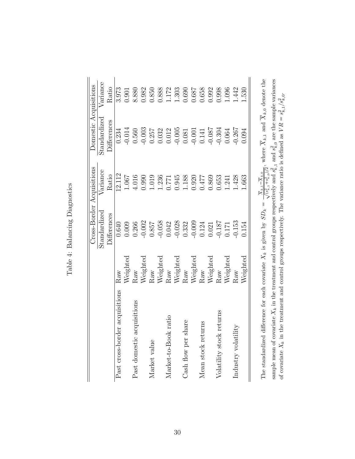<span id="page-31-0"></span>

|                                |                             | Cross-Border Acquisitions |                                                                          | Domestic Acquisitions |                |
|--------------------------------|-----------------------------|---------------------------|--------------------------------------------------------------------------|-----------------------|----------------|
|                                |                             | Standardized              | Variance                                                                 | Standardized          | Variance       |
|                                |                             | Differences               | Ratio                                                                    | Differences           | Ratio          |
| Past cross-border acquisitions | $\mathop{\rm Raw}\nolimits$ | 0.640                     | 12.112                                                                   | 0.234                 | 3.973          |
|                                | Weighted                    | 0.009                     | 1.067                                                                    | $-0.014$              | 0.901          |
| acquisitions<br>Past domestic  | $\operatorname{Raw}$        | 0.266                     |                                                                          | 0.560                 | 8.880          |
|                                | Weighted                    | $-0.002$                  | $\begin{array}{c} 4.016 \\ 0.990 \\ 1.019 \end{array}$                   | $-0.003$              | 0.982          |
| Market value                   | Raw                         | $0.857$                   |                                                                          | 0.257                 | $0.850\,$      |
|                                | Weighted                    | $-0.058$                  |                                                                          |                       | 0.888          |
| Market-to-Book ratio           | Raw                         | 0.042                     |                                                                          | 0.032<br>0.012        |                |
|                                | Weighted                    |                           | $\begin{array}{c} 1.236 \\ 0.771 \\ 0.945 \\ 1.188 \\ 0.920 \end{array}$ | $-0.005$              | 1.172<br>1.303 |
| share<br>Cash flow per         |                             | $-0.028$<br>0.332         |                                                                          | $0.081\,$             | 0.690          |
|                                | Raw<br>Weighted             | $-0.009$                  |                                                                          | $-0.001$              | 0.687          |
| Mean stock returns             |                             | 0.124                     | 0.477                                                                    | 0.141                 | 0.658          |
|                                | Raw<br>Weighted             | 0.021                     | 0.869                                                                    | $-0.087$              | 0.992          |
| k returns<br>Volatility stock  | Raw                         | $-0.187$                  | 0.653                                                                    | 0.304                 | 0.998          |
|                                | $Nei$ ghte $\rm \dot{o}$    | 171                       | 1.241                                                                    | 0.064                 | 1.096          |
| Industry volatility            | Raw                         | 0.153                     | 1.428                                                                    | $-0.267$              | 1.442          |
|                                | Weighted                    | 0.154                     | 1.663                                                                    | 0.094                 | 1.530          |
|                                |                             |                           |                                                                          |                       |                |

Table 4: Balancing Diagnostics Table 4: Balancing Diagnostics The standardized difference for each covariate  $X_k$  is given by  $SD_k = \frac{\overline{X}_{k,1} - \overline{X}_{k,0}}{\sqrt{(s_{k,1}^2 + s_{k,0}^2)/2}}$ , where  $\overline{X}_{k,1}$  and  $\overline{X}_{k,0}$  denote the sample mean of covariate  $X_k$  in the treatment and contro The standardized difference for each covariate  $X_k$  is given by  $SD_k = \frac{X_{k,1}-X_{k,0}}{\sqrt{(s_{k,1}^2+s_{k,0}^2)/2}}$ , where  $\overline{X}_{k,1}$  and  $\overline{X}_{k,0}$  denote the sample mean of covariate  $X_k$  in the treatment and control groups respectively and  $s_{k,1}^2$  and  $s_{k,0}^2$  are the sample variances of covariate  $X_k$  in the treatment and control groups respectively. The variance ratio is defined as  $VR = s_{k,1}^2/s_{k,0}^2$ .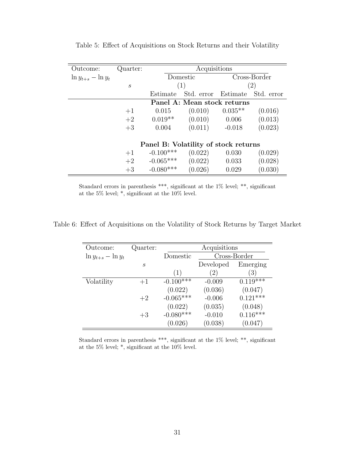| Outcome:                | Quarter:                    | Acquisitions                |                                      |              |            |
|-------------------------|-----------------------------|-----------------------------|--------------------------------------|--------------|------------|
| $\ln y_{t+s} - \ln y_t$ |                             | Domestic                    |                                      | Cross-Border |            |
|                         | $\mathcal{S}_{\mathcal{S}}$ | (1)                         |                                      |              | (2)        |
|                         |                             | Estimate                    | Std. error Estimate                  |              | Std. error |
|                         |                             | Panel A: Mean stock returns |                                      |              |            |
|                         | $+1$                        | 0.015                       | (0.010)                              | $0.035**$    | (0.016)    |
|                         | $+2$                        | $0.019**$                   | (0.010)                              | 0.006        | (0.013)    |
|                         | $+3$                        | 0.004                       | (0.011)                              | $-0.018$     | (0.023)    |
|                         |                             |                             |                                      |              |            |
|                         |                             |                             | Panel B: Volatility of stock returns |              |            |
|                         | $+1$                        | $-0.100***$                 | (0.022)                              | 0.030        | (0.029)    |
|                         | $+2$                        | $-0.065***$                 | (0.022)                              | 0.033        | (0.028)    |
|                         | $+3$                        | $-0.080***$                 | (0.026)                              | 0.029        | (0.030)    |

<span id="page-32-0"></span>Table 5: Effect of Acquisitions on Stock Returns and their Volatility

Standard errors in parenthesis \*\*\*, significant at the 1% level; \*\*, significant at the 5% level; \*, significant at the 10% level.

<span id="page-32-1"></span>Table 6: Effect of Acquisitions on the Volatility of Stock Returns by Target Market

| Outcome:                | Quarter: | Acquisitions |              |                  |  |
|-------------------------|----------|--------------|--------------|------------------|--|
| $\ln y_{t+s} - \ln y_t$ |          | Domestic     | Cross-Border |                  |  |
|                         | S        |              | Developed    | Emerging         |  |
|                         |          | (1)          | (2)          | $\left(3\right)$ |  |
| Volatility              | $+1$     | $-0.100$ *** | $-0.009$     | $0.119$ ***      |  |
|                         |          | (0.022)      | (0.036)      | (0.047)          |  |
|                         | $+2$     | $-0.065***$  | $-0.006$     | $0.121***$       |  |
|                         |          | (0.022)      | (0.035)      | (0.048)          |  |
|                         | $+3$     | $-0.080***$  | $-0.010$     | $0.116***$       |  |
|                         |          | (0.026)      | (0.038)      | (0.047)          |  |

Standard errors in parenthesis \*\*\*, significant at the 1% level; \*\*, significant at the 5% level; \*, significant at the 10% level.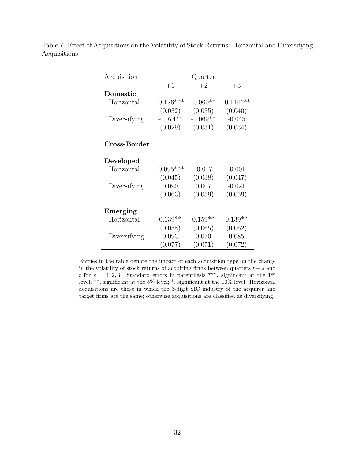| Acquisition  |             | Quarter    |             |
|--------------|-------------|------------|-------------|
|              | $+1$        | $+2$       | $+3$        |
| Domestic     |             |            |             |
| Horizontal   | $-0.126***$ | $-0.060**$ | $-0.114***$ |
|              | (0.032)     | (0.035)    | (0.040)     |
| Diversifying | $-0.074**$  | $-0.069**$ | $-0.045$    |
|              | (0.029)     | (0.031)    | (0.034)     |
| Cross-Border |             |            |             |
| Developed    |             |            |             |
| Horizontal   | $-0.095***$ | $-0.017$   | $-0.001$    |
|              | (0.045)     | (0.038)    | (0.047)     |
| Diversifying | 0.090       | 0.007      | $-0.021$    |
|              | (0.063)     | (0.059)    | (0.059)     |
| Emerging     |             |            |             |
| Horizontal   | $0.139**$   | $0.159**$  | $0.139**$   |
|              | (0.058)     | (0.065)    | (0.062)     |
| Diversifying | 0.093       | 0.070      | 0.085       |
|              | (0.077)     | (0.071)    | (0.072)     |

<span id="page-33-0"></span>Table 7: Effect of Acquisitions on the Volatility of Stock Returns: Horizontal and Diversifying Acquisitions

Entries in the table denote the impact of each acquisition type on the change in the volatility of stock returns of acquiring firms between quarters  $t + s$  and t for  $s = 1, 2, 3$ . Standard errors in parenthesis \*\*\*, significant at the 1% level; \*\*, significant at the 5% level; \*, significant at the 10% level. Horizontal acquisitions are those in which the 3-digit SIC industry of the acquirer and target firms are the same; otherwise acquisitions are classified as diversifying.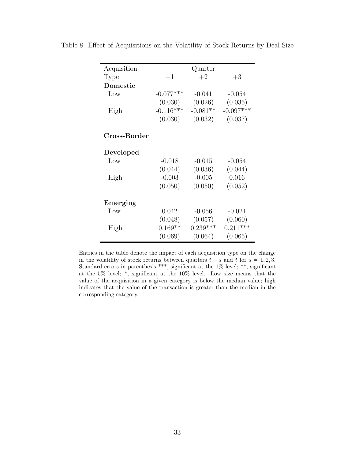| Acquisition  |             | Quarter    |             |
|--------------|-------------|------------|-------------|
| Type         | $+1$        | $+2$       | $+3$        |
| Domestic     |             |            |             |
| Low          | $-0.077***$ | $-0.041$   | $-0.054$    |
|              | (0.030)     | (0.026)    | (0.035)     |
| High         | $-0.116***$ | $-0.081**$ | $-0.097***$ |
|              | (0.030)     | (0.032)    | (0.037)     |
| Cross-Border |             |            |             |
| Developed    |             |            |             |
| Low          | $-0.018$    | $-0.015$   | $-0.054$    |
|              | (0.044)     | (0.036)    | (0.044)     |
| High         | $-0.003$    | $-0.005$   | 0.016       |
|              | (0.050)     | (0.050)    | (0.052)     |
| Emerging     |             |            |             |
| Low          | 0.042       | $-0.056$   | $-0.021$    |
|              | (0.048)     | (0.057)    | (0.060)     |
| High         | $0.169**$   | $0.239***$ | $0.211***$  |
|              | (0.069)     | (0.064)    | (0.065)     |

<span id="page-34-0"></span>Table 8: Effect of Acquisitions on the Volatility of Stock Returns by Deal Size

Entries in the table denote the impact of each acquisition type on the change in the volatility of stock returns between quarters  $t + s$  and t for  $s = 1, 2, 3$ . Standard errors in parenthesis \*\*\*, significant at the 1% level; \*\*, significant at the 5% level; \*, significant at the 10% level. Low size means that the value of the acquisition in a given category is below the median value; high indicates that the value of the transaction is greater than the median in the corresponding category.